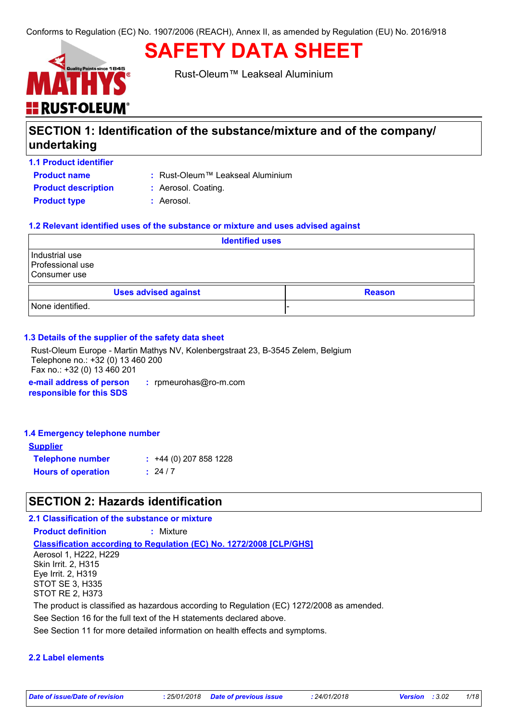# **E** RUST-OLEUM

Rust-Oleum™ Leakseal Aluminium

**SAFETY DATA SHEET**

# **SECTION 1: Identification of the substance/mixture and of the company/ undertaking**

### **1.1 Product identifier**

**Product name**

Rust-Oleum™ Leakseal Aluminium **:**

**Product type :** Aerosol. **Product description : Aerosol. Coating.** 

### **1.2 Relevant identified uses of the substance or mixture and uses advised against**

| <b>Identified uses</b>                             |                             |  |               |
|----------------------------------------------------|-----------------------------|--|---------------|
| Industrial use<br>Professional use<br>Consumer use |                             |  |               |
|                                                    | <b>Uses advised against</b> |  | <b>Reason</b> |
| None identified.                                   |                             |  |               |

### **1.3 Details of the supplier of the safety data sheet**

Rust-Oleum Europe - Martin Mathys NV, Kolenbergstraat 23, B-3545 Zelem, Belgium Telephone no.: +32 (0) 13 460 200 Fax no.: +32 (0) 13 460 201

**e-mail address of person responsible for this SDS :** rpmeurohas@ro-m.com

### **1.4 Emergency telephone number**

| <b>Supplier</b>           |                         |
|---------------------------|-------------------------|
| <b>Telephone number</b>   | $: +44(0)$ 207 858 1228 |
| <b>Hours of operation</b> | : 24/7                  |

# **SECTION 2: Hazards identification**

### **2.1 Classification of the substance or mixture**

**Product definition :** Mixture

**Classification according to Regulation (EC) No. 1272/2008 [CLP/GHS]**

Aerosol 1, H222, H229 Skin Irrit. 2, H315 Eye Irrit. 2, H319 STOT SE 3, H335 STOT RE 2, H373

The product is classified as hazardous according to Regulation (EC) 1272/2008 as amended.

See Section 16 for the full text of the H statements declared above.

See Section 11 for more detailed information on health effects and symptoms.

### **2.2 Label elements**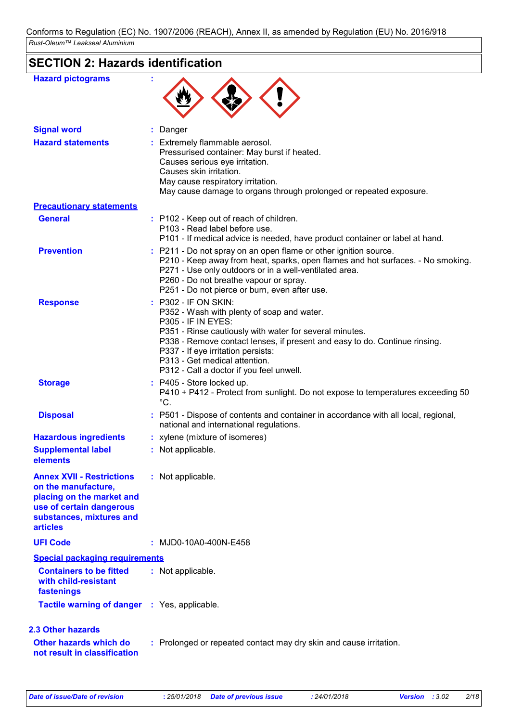# **SECTION 2: Hazards identification**

| <b>Hazard pictograms</b>                                                                                                                                        |                                                                                                                                                                                                                                                                                                                                                    |
|-----------------------------------------------------------------------------------------------------------------------------------------------------------------|----------------------------------------------------------------------------------------------------------------------------------------------------------------------------------------------------------------------------------------------------------------------------------------------------------------------------------------------------|
| <b>Signal word</b>                                                                                                                                              | Danger                                                                                                                                                                                                                                                                                                                                             |
| <b>Hazard statements</b>                                                                                                                                        | Extremely flammable aerosol.<br>Pressurised container: May burst if heated.<br>Causes serious eye irritation.<br>Causes skin irritation.<br>May cause respiratory irritation.<br>May cause damage to organs through prolonged or repeated exposure.                                                                                                |
| <b>Precautionary statements</b>                                                                                                                                 |                                                                                                                                                                                                                                                                                                                                                    |
| <b>General</b>                                                                                                                                                  | : P102 - Keep out of reach of children.<br>P103 - Read label before use.<br>P101 - If medical advice is needed, have product container or label at hand.                                                                                                                                                                                           |
| <b>Prevention</b>                                                                                                                                               | : P211 - Do not spray on an open flame or other ignition source.<br>P210 - Keep away from heat, sparks, open flames and hot surfaces. - No smoking.<br>P271 - Use only outdoors or in a well-ventilated area.<br>P260 - Do not breathe vapour or spray.<br>P251 - Do not pierce or burn, even after use.                                           |
| <b>Response</b>                                                                                                                                                 | P302 - IF ON SKIN:<br>P352 - Wash with plenty of soap and water.<br>P305 - IF IN EYES:<br>P351 - Rinse cautiously with water for several minutes.<br>P338 - Remove contact lenses, if present and easy to do. Continue rinsing.<br>P337 - If eye irritation persists:<br>P313 - Get medical attention.<br>P312 - Call a doctor if you feel unwell. |
| <b>Storage</b>                                                                                                                                                  | : P405 - Store locked up.<br>P410 + P412 - Protect from sunlight. Do not expose to temperatures exceeding 50<br>$^{\circ}C.$                                                                                                                                                                                                                       |
| <b>Disposal</b>                                                                                                                                                 | : P501 - Dispose of contents and container in accordance with all local, regional,<br>national and international regulations.                                                                                                                                                                                                                      |
| <b>Hazardous ingredients</b>                                                                                                                                    | : xylene (mixture of isomeres)                                                                                                                                                                                                                                                                                                                     |
| <b>Supplemental label</b><br>elements                                                                                                                           | : Not applicable.                                                                                                                                                                                                                                                                                                                                  |
| <b>Annex XVII - Restrictions</b><br>on the manufacture,<br>placing on the market and<br>use of certain dangerous<br>substances, mixtures and<br><b>articles</b> | : Not applicable.                                                                                                                                                                                                                                                                                                                                  |
| <b>UFI Code</b>                                                                                                                                                 | : MJD0-10A0-400N-E458                                                                                                                                                                                                                                                                                                                              |
| <b>Special packaging requirements</b>                                                                                                                           |                                                                                                                                                                                                                                                                                                                                                    |
| <b>Containers to be fitted</b><br>with child-resistant<br>fastenings                                                                                            | : Not applicable.                                                                                                                                                                                                                                                                                                                                  |
| <b>Tactile warning of danger : Yes, applicable.</b>                                                                                                             |                                                                                                                                                                                                                                                                                                                                                    |
| <b>2.3 Other hazards</b>                                                                                                                                        |                                                                                                                                                                                                                                                                                                                                                    |
| <b>Other hazards which do</b><br>not result in classification                                                                                                   | : Prolonged or repeated contact may dry skin and cause irritation.                                                                                                                                                                                                                                                                                 |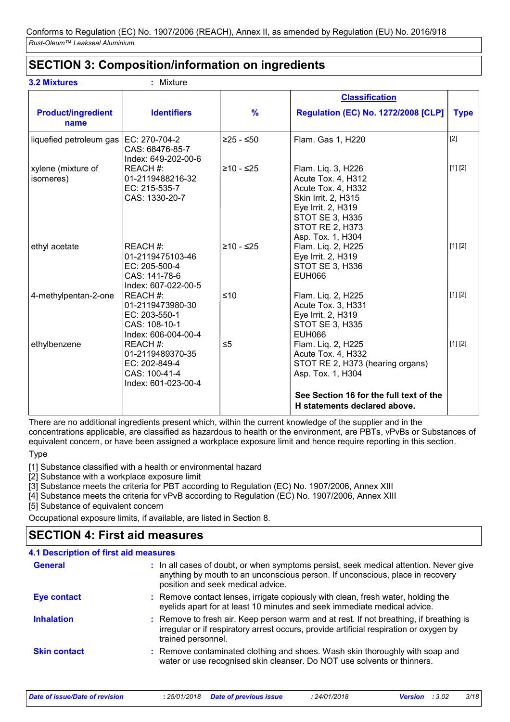# **SECTION 3: Composition/information on ingredients**

|                                   |                                                                                       |               | <b>Classification</b>                                                                                                                                                                |             |
|-----------------------------------|---------------------------------------------------------------------------------------|---------------|--------------------------------------------------------------------------------------------------------------------------------------------------------------------------------------|-------------|
| <b>Product/ingredient</b><br>name | <b>Identifiers</b>                                                                    | $\frac{9}{6}$ | <b>Regulation (EC) No. 1272/2008 [CLP]</b>                                                                                                                                           | <b>Type</b> |
| liquefied petroleum gas           | EC: 270-704-2<br>CAS: 68476-85-7<br>Index: 649-202-00-6                               | $≥25 - ≤50$   | Flam. Gas 1, H220                                                                                                                                                                    | $[2]$       |
| xylene (mixture of<br>isomeres)   | REACH #:<br>01-2119488216-32<br>EC: 215-535-7<br>CAS: 1330-20-7                       | $≥10 - ≤25$   | Flam. Liq. 3, H226<br>Acute Tox. 4, H312<br>Acute Tox. 4, H332<br>Skin Irrit. 2, H315<br>Eye Irrit. 2, H319<br><b>STOT SE 3, H335</b><br><b>STOT RE 2, H373</b><br>Asp. Tox. 1, H304 | [1] [2]     |
| ethyl acetate                     | REACH #:<br>01-2119475103-46<br>EC: 205-500-4<br>CAS: 141-78-6<br>Index: 607-022-00-5 | $≥10 - ≤25$   | Flam. Liq. 2, H225<br>Eye Irrit. 2, H319<br>STOT SE 3, H336<br><b>EUH066</b>                                                                                                         | [1] [2]     |
| 4-methylpentan-2-one              | REACH #:<br>01-2119473980-30<br>EC: 203-550-1<br>CAS: 108-10-1<br>Index: 606-004-00-4 | $≤10$         | Flam. Liq. 2, H225<br>Acute Tox. 3, H331<br>Eye Irrit. 2, H319<br><b>STOT SE 3, H335</b><br><b>EUH066</b>                                                                            | [1] [2]     |
| ethylbenzene                      | REACH #:<br>01-2119489370-35<br>EC: 202-849-4<br>CAS: 100-41-4<br>Index: 601-023-00-4 | $\leq 5$      | Flam. Liq. 2, H225<br>Acute Tox. 4, H332<br>STOT RE 2, H373 (hearing organs)<br>Asp. Tox. 1, H304                                                                                    | [1] [2]     |
|                                   |                                                                                       |               | See Section 16 for the full text of the<br>H statements declared above.                                                                                                              |             |

There are no additional ingredients present which, within the current knowledge of the supplier and in the concentrations applicable, are classified as hazardous to health or the environment, are PBTs, vPvBs or Substances of equivalent concern, or have been assigned a workplace exposure limit and hence require reporting in this section. **Type** 

[1] Substance classified with a health or environmental hazard

[2] Substance with a workplace exposure limit

[3] Substance meets the criteria for PBT according to Regulation (EC) No. 1907/2006, Annex XIII

[4] Substance meets the criteria for vPvB according to Regulation (EC) No. 1907/2006, Annex XIII

[5] Substance of equivalent concern

Occupational exposure limits, if available, are listed in Section 8.

# **SECTION 4: First aid measures**

| <b>4.1 Description of first aid measures</b> |                                                                                                                                                                                                             |
|----------------------------------------------|-------------------------------------------------------------------------------------------------------------------------------------------------------------------------------------------------------------|
| <b>General</b>                               | : In all cases of doubt, or when symptoms persist, seek medical attention. Never give<br>anything by mouth to an unconscious person. If unconscious, place in recovery<br>position and seek medical advice. |
| Eye contact                                  | : Remove contact lenses, irrigate copiously with clean, fresh water, holding the<br>eyelids apart for at least 10 minutes and seek immediate medical advice.                                                |
| <b>Inhalation</b>                            | : Remove to fresh air. Keep person warm and at rest. If not breathing, if breathing is<br>irregular or if respiratory arrest occurs, provide artificial respiration or oxygen by<br>trained personnel.      |
| <b>Skin contact</b>                          | : Remove contaminated clothing and shoes. Wash skin thoroughly with soap and<br>water or use recognised skin cleanser. Do NOT use solvents or thinners.                                                     |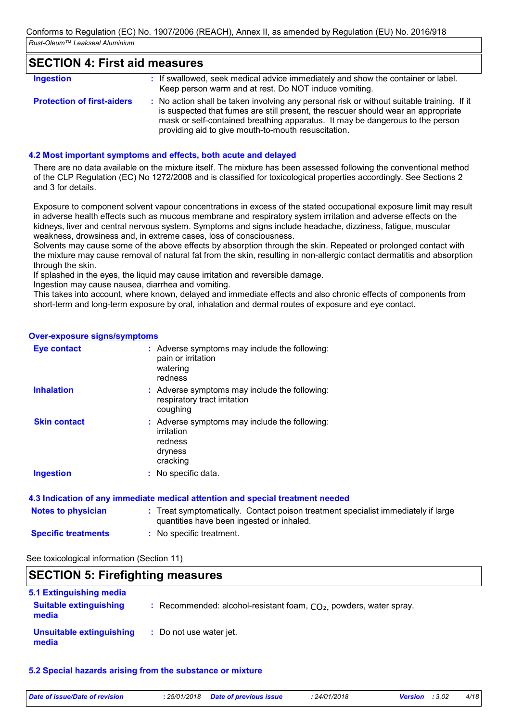### **SECTION 4: First aid measures**

| <b>Ingestion</b>                  | : If swallowed, seek medical advice immediately and show the container or label.<br>Keep person warm and at rest. Do NOT induce vomiting.                                                                                                                                                                               |
|-----------------------------------|-------------------------------------------------------------------------------------------------------------------------------------------------------------------------------------------------------------------------------------------------------------------------------------------------------------------------|
| <b>Protection of first-aiders</b> | : No action shall be taken involving any personal risk or without suitable training. If it<br>is suspected that fumes are still present, the rescuer should wear an appropriate<br>mask or self-contained breathing apparatus. It may be dangerous to the person<br>providing aid to give mouth-to-mouth resuscitation. |

### **4.2 Most important symptoms and effects, both acute and delayed**

There are no data available on the mixture itself. The mixture has been assessed following the conventional method of the CLP Regulation (EC) No 1272/2008 and is classified for toxicological properties accordingly. See Sections 2 and 3 for details.

Exposure to component solvent vapour concentrations in excess of the stated occupational exposure limit may result in adverse health effects such as mucous membrane and respiratory system irritation and adverse effects on the kidneys, liver and central nervous system. Symptoms and signs include headache, dizziness, fatigue, muscular weakness, drowsiness and, in extreme cases, loss of consciousness.

Solvents may cause some of the above effects by absorption through the skin. Repeated or prolonged contact with the mixture may cause removal of natural fat from the skin, resulting in non-allergic contact dermatitis and absorption through the skin.

If splashed in the eyes, the liquid may cause irritation and reversible damage.

Ingestion may cause nausea, diarrhea and vomiting.

This takes into account, where known, delayed and immediate effects and also chronic effects of components from short-term and long-term exposure by oral, inhalation and dermal routes of exposure and eye contact.

### **Over-exposure signs/symptoms**

| <b>Eye contact</b>  | : Adverse symptoms may include the following:<br>pain or irritation<br>watering<br>redness    |
|---------------------|-----------------------------------------------------------------------------------------------|
| <b>Inhalation</b>   | : Adverse symptoms may include the following:<br>respiratory tract irritation<br>coughing     |
| <b>Skin contact</b> | : Adverse symptoms may include the following:<br>irritation<br>redness<br>dryness<br>cracking |
| <b>Ingestion</b>    | : No specific data.                                                                           |
|                     |                                                                                               |

|                            | 4.3 Indication of any immediate medical attention and special treatment needed                                                 |
|----------------------------|--------------------------------------------------------------------------------------------------------------------------------|
| <b>Notes to physician</b>  | : Treat symptomatically. Contact poison treatment specialist immediately if large<br>quantities have been ingested or inhaled. |
| <b>Specific treatments</b> | : No specific treatment.                                                                                                       |

See toxicological information (Section 11)

### **SECTION 5: Firefighting measures** Recommended: alcohol-resistant foam, CO₂, powders, water spray. **: :** Do not use water jet. **5.1 Extinguishing media Suitable extinguishing media Unsuitable extinguishing media**

### **5.2 Special hazards arising from the substance or mixture**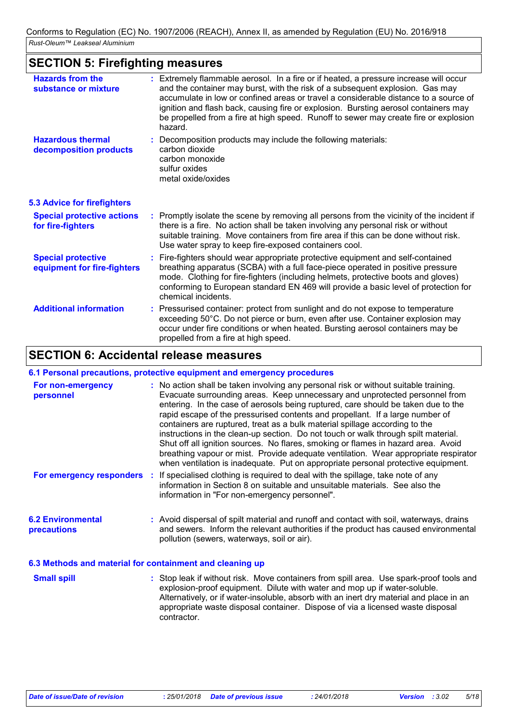# **SECTION 5: Firefighting measures**

| <b>Hazards from the</b><br>substance or mixture          | : Extremely flammable aerosol. In a fire or if heated, a pressure increase will occur<br>and the container may burst, with the risk of a subsequent explosion. Gas may<br>accumulate in low or confined areas or travel a considerable distance to a source of<br>ignition and flash back, causing fire or explosion. Bursting aerosol containers may<br>be propelled from a fire at high speed. Runoff to sewer may create fire or explosion<br>hazard. |
|----------------------------------------------------------|----------------------------------------------------------------------------------------------------------------------------------------------------------------------------------------------------------------------------------------------------------------------------------------------------------------------------------------------------------------------------------------------------------------------------------------------------------|
| <b>Hazardous thermal</b><br>decomposition products       | : Decomposition products may include the following materials:<br>carbon dioxide<br>carbon monoxide<br>sulfur oxides<br>metal oxide/oxides                                                                                                                                                                                                                                                                                                                |
| <b>5.3 Advice for firefighters</b>                       |                                                                                                                                                                                                                                                                                                                                                                                                                                                          |
| <b>Special protective actions</b><br>for fire-fighters   | : Promptly isolate the scene by removing all persons from the vicinity of the incident if<br>there is a fire. No action shall be taken involving any personal risk or without<br>suitable training. Move containers from fire area if this can be done without risk.<br>Use water spray to keep fire-exposed containers cool.                                                                                                                            |
| <b>Special protective</b><br>equipment for fire-fighters | : Fire-fighters should wear appropriate protective equipment and self-contained<br>breathing apparatus (SCBA) with a full face-piece operated in positive pressure<br>mode. Clothing for fire-fighters (including helmets, protective boots and gloves)<br>conforming to European standard EN 469 will provide a basic level of protection for<br>chemical incidents.                                                                                    |
| <b>Additional information</b>                            | : Pressurised container: protect from sunlight and do not expose to temperature<br>exceeding 50°C. Do not pierce or burn, even after use. Container explosion may<br>occur under fire conditions or when heated. Bursting aerosol containers may be<br>propelled from a fire at high speed.                                                                                                                                                              |

# **SECTION 6: Accidental release measures**

### **6.1 Personal precautions, protective equipment and emergency procedures**

contractor.

| For non-emergency<br>personnel                           | : No action shall be taken involving any personal risk or without suitable training.<br>Evacuate surrounding areas. Keep unnecessary and unprotected personnel from<br>entering. In the case of aerosols being ruptured, care should be taken due to the<br>rapid escape of the pressurised contents and propellant. If a large number of<br>containers are ruptured, treat as a bulk material spillage according to the<br>instructions in the clean-up section. Do not touch or walk through spilt material.<br>Shut off all ignition sources. No flares, smoking or flames in hazard area. Avoid<br>breathing vapour or mist. Provide adequate ventilation. Wear appropriate respirator<br>when ventilation is inadequate. Put on appropriate personal protective equipment. |
|----------------------------------------------------------|---------------------------------------------------------------------------------------------------------------------------------------------------------------------------------------------------------------------------------------------------------------------------------------------------------------------------------------------------------------------------------------------------------------------------------------------------------------------------------------------------------------------------------------------------------------------------------------------------------------------------------------------------------------------------------------------------------------------------------------------------------------------------------|
| For emergency responders :                               | If specialised clothing is required to deal with the spillage, take note of any<br>information in Section 8 on suitable and unsuitable materials. See also the<br>information in "For non-emergency personnel".                                                                                                                                                                                                                                                                                                                                                                                                                                                                                                                                                                 |
| <b>6.2 Environmental</b><br><b>precautions</b>           | : Avoid dispersal of spilt material and runoff and contact with soil, waterways, drains<br>and sewers. Inform the relevant authorities if the product has caused environmental<br>pollution (sewers, waterways, soil or air).                                                                                                                                                                                                                                                                                                                                                                                                                                                                                                                                                   |
| 6.3 Methods and material for containment and cleaning up |                                                                                                                                                                                                                                                                                                                                                                                                                                                                                                                                                                                                                                                                                                                                                                                 |

**Small spill Small spill :** Stop leak if without risk. Move containers from spill area. Use spark-proof tools and explosion-proof equipment. Dilute with water and mop up if water-soluble. Alternatively, or if water-insoluble, absorb with an inert dry material and place in an appropriate waste disposal container. Dispose of via a licensed waste disposal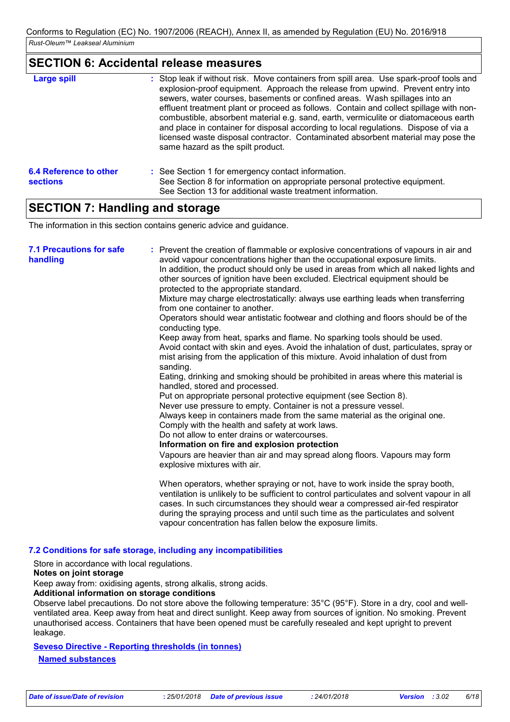### **SECTION 6: Accidental release measures**

| <b>Large spill</b>                        | : Stop leak if without risk. Move containers from spill area. Use spark-proof tools and<br>explosion-proof equipment. Approach the release from upwind. Prevent entry into<br>sewers, water courses, basements or confined areas. Wash spillages into an<br>effluent treatment plant or proceed as follows. Contain and collect spillage with non-<br>combustible, absorbent material e.g. sand, earth, vermiculite or diatomaceous earth<br>and place in container for disposal according to local regulations. Dispose of via a<br>licensed waste disposal contractor. Contaminated absorbent material may pose the<br>same hazard as the spilt product. |
|-------------------------------------------|------------------------------------------------------------------------------------------------------------------------------------------------------------------------------------------------------------------------------------------------------------------------------------------------------------------------------------------------------------------------------------------------------------------------------------------------------------------------------------------------------------------------------------------------------------------------------------------------------------------------------------------------------------|
| 6.4 Reference to other<br><b>sections</b> | : See Section 1 for emergency contact information.<br>See Section 8 for information on appropriate personal protective equipment.<br>See Section 13 for additional waste treatment information.                                                                                                                                                                                                                                                                                                                                                                                                                                                            |

# **SECTION 7: Handling and storage**

The information in this section contains generic advice and guidance.

| <b>7.1 Precautions for safe</b><br>handling | : Prevent the creation of flammable or explosive concentrations of vapours in air and<br>avoid vapour concentrations higher than the occupational exposure limits.<br>In addition, the product should only be used in areas from which all naked lights and<br>other sources of ignition have been excluded. Electrical equipment should be<br>protected to the appropriate standard.<br>Mixture may charge electrostatically: always use earthing leads when transferring<br>from one container to another.<br>Operators should wear antistatic footwear and clothing and floors should be of the<br>conducting type.<br>Keep away from heat, sparks and flame. No sparking tools should be used.<br>Avoid contact with skin and eyes. Avoid the inhalation of dust, particulates, spray or<br>mist arising from the application of this mixture. Avoid inhalation of dust from<br>sanding.<br>Eating, drinking and smoking should be prohibited in areas where this material is<br>handled, stored and processed.<br>Put on appropriate personal protective equipment (see Section 8).<br>Never use pressure to empty. Container is not a pressure vessel.<br>Always keep in containers made from the same material as the original one.<br>Comply with the health and safety at work laws.<br>Do not allow to enter drains or watercourses.<br>Information on fire and explosion protection<br>Vapours are heavier than air and may spread along floors. Vapours may form<br>explosive mixtures with air. |
|---------------------------------------------|--------------------------------------------------------------------------------------------------------------------------------------------------------------------------------------------------------------------------------------------------------------------------------------------------------------------------------------------------------------------------------------------------------------------------------------------------------------------------------------------------------------------------------------------------------------------------------------------------------------------------------------------------------------------------------------------------------------------------------------------------------------------------------------------------------------------------------------------------------------------------------------------------------------------------------------------------------------------------------------------------------------------------------------------------------------------------------------------------------------------------------------------------------------------------------------------------------------------------------------------------------------------------------------------------------------------------------------------------------------------------------------------------------------------------------------------------------------------------------------------------------------|
|                                             | When operators, whether spraying or not, have to work inside the spray booth,<br>ventilation is unlikely to be sufficient to control particulates and solvent vapour in all<br>cases. In such circumstances they should wear a compressed air-fed respirator<br>during the spraying process and until such time as the particulates and solvent<br>vapour concentration has fallen below the exposure limits.                                                                                                                                                                                                                                                                                                                                                                                                                                                                                                                                                                                                                                                                                                                                                                                                                                                                                                                                                                                                                                                                                                |

### **7.2 Conditions for safe storage, including any incompatibilities**

Store in accordance with local regulations.

### **Notes on joint storage**

Keep away from: oxidising agents, strong alkalis, strong acids.

### **Additional information on storage conditions**

Observe label precautions. Do not store above the following temperature: 35°C (95°F). Store in a dry, cool and wellventilated area. Keep away from heat and direct sunlight. Keep away from sources of ignition. No smoking. Prevent unauthorised access. Containers that have been opened must be carefully resealed and kept upright to prevent leakage.

### **Seveso Directive - Reporting thresholds (in tonnes)**

**Named substances**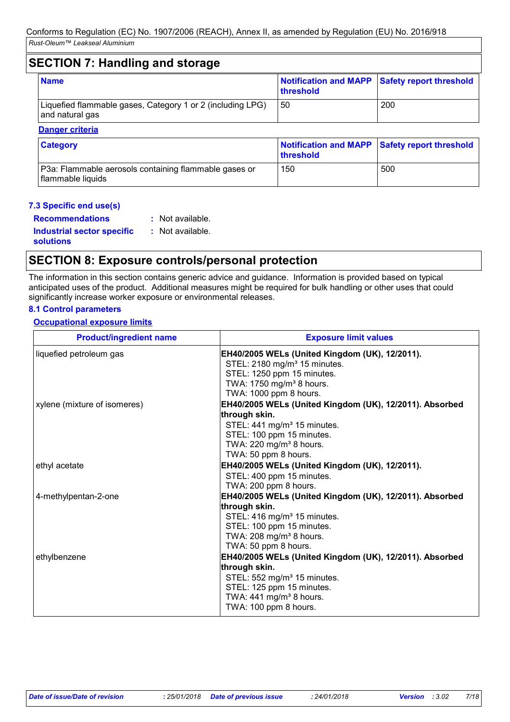### **SECTION 7: Handling and storage** Liquefied flammable gases, Category 1 or 2 (including LPG) | 50 and natural gas 50 200 **Name Name Name Notification and MAPP threshold Safety report threshold Danger criteria**

### **Category** P3a: Flammable aerosols containing flammable gases or flammable liquids 150 | 500 **Notification and MAPP threshold Safety report threshold**

### **7.3 Specific end use(s)**

**Recommendations : Industrial sector specific : solutions** : Not available. : Not available.

# **SECTION 8: Exposure controls/personal protection**

The information in this section contains generic advice and guidance. Information is provided based on typical anticipated uses of the product. Additional measures might be required for bulk handling or other uses that could significantly increase worker exposure or environmental releases.

### **8.1 Control parameters**

### **Occupational exposure limits**

| <b>Product/ingredient name</b> | <b>Exposure limit values</b>                                                                                                                                                                                     |
|--------------------------------|------------------------------------------------------------------------------------------------------------------------------------------------------------------------------------------------------------------|
| liquefied petroleum gas        | EH40/2005 WELs (United Kingdom (UK), 12/2011).<br>STEL: 2180 mg/m <sup>3</sup> 15 minutes.<br>STEL: 1250 ppm 15 minutes.                                                                                         |
| xylene (mixture of isomeres)   | TWA: 1750 mg/m <sup>3</sup> 8 hours.<br>TWA: 1000 ppm 8 hours.<br>EH40/2005 WELs (United Kingdom (UK), 12/2011). Absorbed                                                                                        |
|                                | through skin.<br>STEL: 441 mg/m <sup>3</sup> 15 minutes.<br>STEL: 100 ppm 15 minutes.<br>TWA: 220 mg/m <sup>3</sup> 8 hours.<br>TWA: 50 ppm 8 hours.                                                             |
| ethyl acetate                  | EH40/2005 WELs (United Kingdom (UK), 12/2011).<br>STEL: 400 ppm 15 minutes.<br>TWA: 200 ppm 8 hours.                                                                                                             |
| 4-methylpentan-2-one           | EH40/2005 WELs (United Kingdom (UK), 12/2011). Absorbed<br>through skin.<br>STEL: 416 mg/m <sup>3</sup> 15 minutes.<br>STEL: 100 ppm 15 minutes.<br>TWA: 208 mg/m <sup>3</sup> 8 hours.<br>TWA: 50 ppm 8 hours.  |
| ethylbenzene                   | EH40/2005 WELs (United Kingdom (UK), 12/2011). Absorbed<br>through skin.<br>STEL: 552 mg/m <sup>3</sup> 15 minutes.<br>STEL: 125 ppm 15 minutes.<br>TWA: 441 mg/m <sup>3</sup> 8 hours.<br>TWA: 100 ppm 8 hours. |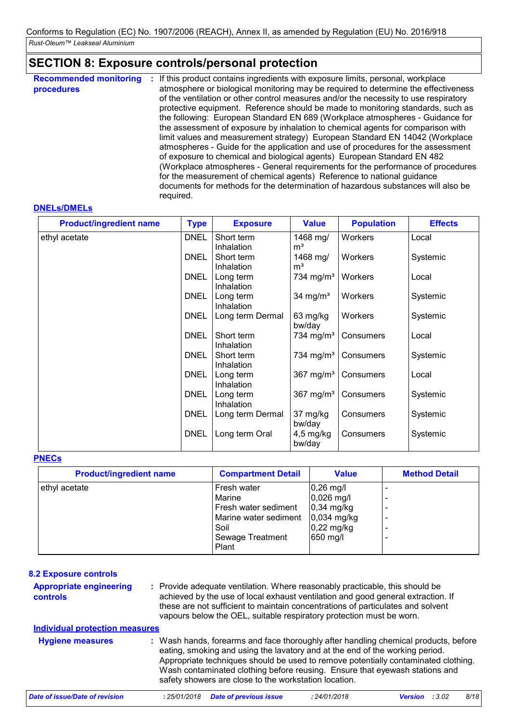# **SECTION 8: Exposure controls/personal protection**

| <b>Recommended monitoring</b><br>procedures | If this product contains ingredients with exposure limits, personal, workplace<br>÷<br>atmosphere or biological monitoring may be required to determine the effectiveness<br>of the ventilation or other control measures and/or the necessity to use respiratory<br>protective equipment. Reference should be made to monitoring standards, such as<br>the following: European Standard EN 689 (Workplace atmospheres - Guidance for<br>the assessment of exposure by inhalation to chemical agents for comparison with<br>limit values and measurement strategy) European Standard EN 14042 (Workplace<br>atmospheres - Guide for the application and use of procedures for the assessment<br>of exposure to chemical and biological agents) European Standard EN 482<br>(Workplace atmospheres - General requirements for the performance of procedures<br>for the measurement of chemical agents) Reference to national guidance<br>documents for methods for the determination of hazardous substances will also be<br>required. |  |
|---------------------------------------------|---------------------------------------------------------------------------------------------------------------------------------------------------------------------------------------------------------------------------------------------------------------------------------------------------------------------------------------------------------------------------------------------------------------------------------------------------------------------------------------------------------------------------------------------------------------------------------------------------------------------------------------------------------------------------------------------------------------------------------------------------------------------------------------------------------------------------------------------------------------------------------------------------------------------------------------------------------------------------------------------------------------------------------------|--|
|---------------------------------------------|---------------------------------------------------------------------------------------------------------------------------------------------------------------------------------------------------------------------------------------------------------------------------------------------------------------------------------------------------------------------------------------------------------------------------------------------------------------------------------------------------------------------------------------------------------------------------------------------------------------------------------------------------------------------------------------------------------------------------------------------------------------------------------------------------------------------------------------------------------------------------------------------------------------------------------------------------------------------------------------------------------------------------------------|--|

### **DNELs/DMELs**

| <b>Product/ingredient name</b> | <b>Type</b> | <b>Exposure</b>                | <b>Value</b>                    | <b>Population</b> | <b>Effects</b> |
|--------------------------------|-------------|--------------------------------|---------------------------------|-------------------|----------------|
| ethyl acetate                  | <b>DNEL</b> | Short term<br>Inhalation       | 1468 mg/<br>m <sup>3</sup>      | Workers           | Local          |
|                                | <b>DNEL</b> | Short term<br>Inhalation       | 1468 mg/<br>m <sup>3</sup>      | Workers           | Systemic       |
|                                | <b>DNEL</b> | Long term                      | 734 mg/m <sup>3</sup>           | Workers           | Local          |
|                                | <b>DNEL</b> | Inhalation<br>Long term        | 34 mg/ $m3$                     | Workers           | Systemic       |
|                                | <b>DNEL</b> | Inhalation<br>Long term Dermal | 63 mg/kg                        | Workers           | Systemic       |
|                                | <b>DNEL</b> | Short term                     | bw/day<br>734 mg/m <sup>3</sup> | Consumers         | Local          |
|                                | <b>DNEL</b> | Inhalation<br>Short term       | 734 mg/m <sup>3</sup>           | Consumers         | Systemic       |
|                                | <b>DNEL</b> | Inhalation<br>Long term        | $367$ mg/m <sup>3</sup>         | Consumers         | Local          |
|                                | <b>DNEL</b> | Inhalation<br>Long term        | 367 mg/ $m3$                    | Consumers         | Systemic       |
|                                | <b>DNEL</b> | Inhalation<br>Long term Dermal | 37 mg/kg                        | Consumers         | Systemic       |
|                                | <b>DNEL</b> | Long term Oral                 | bw/day<br>$4,5$ mg/kg<br>bw/day | Consumers         | Systemic       |

### **PNECs**

| <b>Product/ingredient name</b> | <b>Compartment Detail</b> | <b>Value</b>         | <b>Method Detail</b> |
|--------------------------------|---------------------------|----------------------|----------------------|
| ethyl acetate                  | Fresh water               | $0,26$ mg/l          |                      |
|                                | Marine                    | $0,026$ mg/l         |                      |
|                                | Fresh water sediment      | $0,34$ mg/kg         |                      |
|                                | Marine water sediment     | $0,034$ mg/kg        |                      |
|                                | Soil                      | $0,22 \text{ mg/kg}$ |                      |
|                                | <b>Sewage Treatment</b>   | 650 mg/l             |                      |
|                                | Plant                     |                      |                      |

| <b>8.2 Exposure controls</b><br><b>Appropriate engineering</b><br>controls | : Provide adequate ventilation. Where reasonably practicable, this should be<br>achieved by the use of local exhaust ventilation and good general extraction. If<br>these are not sufficient to maintain concentrations of particulates and solvent<br>vapours below the OEL, suitable respiratory protection must be worn.                                                                       |
|----------------------------------------------------------------------------|---------------------------------------------------------------------------------------------------------------------------------------------------------------------------------------------------------------------------------------------------------------------------------------------------------------------------------------------------------------------------------------------------|
| <b>Individual protection measures</b>                                      |                                                                                                                                                                                                                                                                                                                                                                                                   |
| <b>Hygiene measures</b>                                                    | : Wash hands, forearms and face thoroughly after handling chemical products, before<br>eating, smoking and using the lavatory and at the end of the working period.<br>Appropriate techniques should be used to remove potentially contaminated clothing.<br>Wash contaminated clothing before reusing. Ensure that eyewash stations and<br>safety showers are close to the workstation location. |
| Date of issue/Date of revision                                             | <b>Date of previous issue</b><br>8/18<br>: 25/01/2018<br>: 24/01/2018<br>:3.02<br><b>Version</b>                                                                                                                                                                                                                                                                                                  |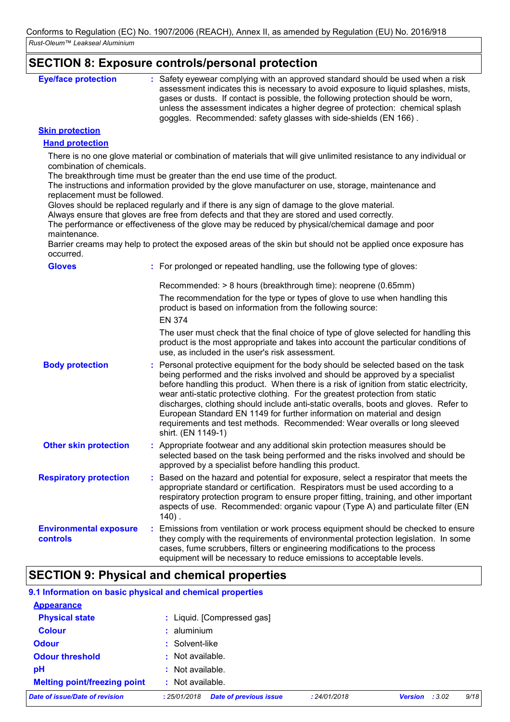## **SECTION 8: Exposure controls/personal protection**

| <b>Eye/face protection</b> | : Safety eyewear complying with an approved standard should be used when a risk<br>assessment indicates this is necessary to avoid exposure to liquid splashes, mists,<br>gases or dusts. If contact is possible, the following protection should be worn,<br>unless the assessment indicates a higher degree of protection: chemical splash<br>goggles. Recommended: safety glasses with side-shields (EN 166). |
|----------------------------|------------------------------------------------------------------------------------------------------------------------------------------------------------------------------------------------------------------------------------------------------------------------------------------------------------------------------------------------------------------------------------------------------------------|
|----------------------------|------------------------------------------------------------------------------------------------------------------------------------------------------------------------------------------------------------------------------------------------------------------------------------------------------------------------------------------------------------------------------------------------------------------|

### **Skin protection**

### **Hand protection**

There is no one glove material or combination of materials that will give unlimited resistance to any individual or combination of chemicals.

The breakthrough time must be greater than the end use time of the product.

The instructions and information provided by the glove manufacturer on use, storage, maintenance and replacement must be followed.

Gloves should be replaced regularly and if there is any sign of damage to the glove material.

Always ensure that gloves are free from defects and that they are stored and used correctly.

The performance or effectiveness of the glove may be reduced by physical/chemical damage and poor maintenance.

Barrier creams may help to protect the exposed areas of the skin but should not be applied once exposure has occurred.

| <b>Gloves</b>                             |   | : For prolonged or repeated handling, use the following type of gloves:                                                                                                                                                                                                                                                                                                                                                                                                                                                                                                                                               |
|-------------------------------------------|---|-----------------------------------------------------------------------------------------------------------------------------------------------------------------------------------------------------------------------------------------------------------------------------------------------------------------------------------------------------------------------------------------------------------------------------------------------------------------------------------------------------------------------------------------------------------------------------------------------------------------------|
|                                           |   | Recommended: > 8 hours (breakthrough time): neoprene (0.65mm)<br>The recommendation for the type or types of glove to use when handling this<br>product is based on information from the following source:                                                                                                                                                                                                                                                                                                                                                                                                            |
|                                           |   | <b>EN 374</b><br>The user must check that the final choice of type of glove selected for handling this<br>product is the most appropriate and takes into account the particular conditions of<br>use, as included in the user's risk assessment.                                                                                                                                                                                                                                                                                                                                                                      |
| <b>Body protection</b>                    |   | : Personal protective equipment for the body should be selected based on the task<br>being performed and the risks involved and should be approved by a specialist<br>before handling this product. When there is a risk of ignition from static electricity,<br>wear anti-static protective clothing. For the greatest protection from static<br>discharges, clothing should include anti-static overalls, boots and gloves. Refer to<br>European Standard EN 1149 for further information on material and design<br>requirements and test methods. Recommended: Wear overalls or long sleeved<br>shirt. (EN 1149-1) |
| <b>Other skin protection</b>              |   | : Appropriate footwear and any additional skin protection measures should be<br>selected based on the task being performed and the risks involved and should be<br>approved by a specialist before handling this product.                                                                                                                                                                                                                                                                                                                                                                                             |
| <b>Respiratory protection</b>             | ÷ | Based on the hazard and potential for exposure, select a respirator that meets the<br>appropriate standard or certification. Respirators must be used according to a<br>respiratory protection program to ensure proper fitting, training, and other important<br>aspects of use. Recommended: organic vapour (Type A) and particulate filter (EN<br>$140$ .                                                                                                                                                                                                                                                          |
| <b>Environmental exposure</b><br>controls |   | : Emissions from ventilation or work process equipment should be checked to ensure<br>they comply with the requirements of environmental protection legislation. In some<br>cases, fume scrubbers, filters or engineering modifications to the process<br>equipment will be necessary to reduce emissions to acceptable levels.                                                                                                                                                                                                                                                                                       |

# **SECTION 9: Physical and chemical properties**

### **9.1 Information on basic physical and chemical properties**

| $:$ Not available.         |  |  |
|----------------------------|--|--|
| $:$ Not available.         |  |  |
| : Not available.           |  |  |
| : Solvent-like             |  |  |
| $:$ aluminium              |  |  |
| : Liquid. [Compressed gas] |  |  |
|                            |  |  |
|                            |  |  |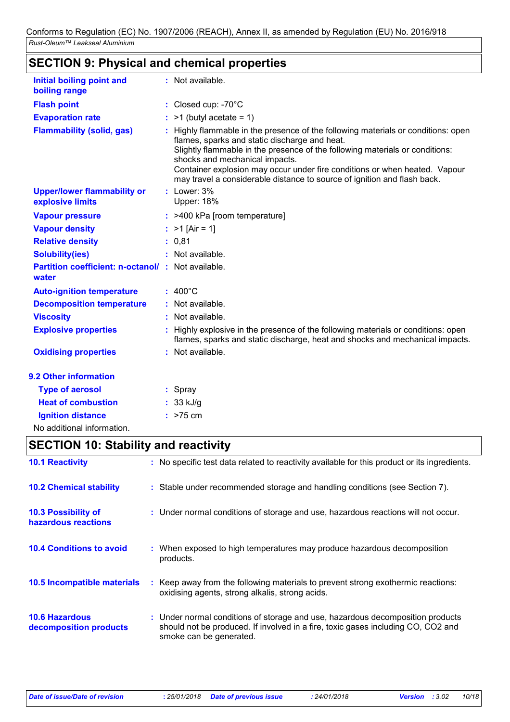| <b>Initial boiling point and</b>                           | : Not available.                                                                                                                                                                                                                                                                                                                                                                                             |
|------------------------------------------------------------|--------------------------------------------------------------------------------------------------------------------------------------------------------------------------------------------------------------------------------------------------------------------------------------------------------------------------------------------------------------------------------------------------------------|
| boiling range                                              |                                                                                                                                                                                                                                                                                                                                                                                                              |
| <b>Flash point</b>                                         | : Closed cup: -70°C                                                                                                                                                                                                                                                                                                                                                                                          |
| <b>Evaporation rate</b>                                    | $>1$ (butyl acetate = 1)                                                                                                                                                                                                                                                                                                                                                                                     |
| <b>Flammability (solid, gas)</b>                           | Highly flammable in the presence of the following materials or conditions: open<br>flames, sparks and static discharge and heat.<br>Slightly flammable in the presence of the following materials or conditions:<br>shocks and mechanical impacts.<br>Container explosion may occur under fire conditions or when heated. Vapour<br>may travel a considerable distance to source of ignition and flash back. |
| <b>Upper/lower flammability or</b><br>explosive limits     | : Lower: 3%<br><b>Upper: 18%</b>                                                                                                                                                                                                                                                                                                                                                                             |
| <b>Vapour pressure</b>                                     | : >400 kPa [room temperature]                                                                                                                                                                                                                                                                                                                                                                                |
| <b>Vapour density</b>                                      | : $>1$ [Air = 1]                                                                                                                                                                                                                                                                                                                                                                                             |
| <b>Relative density</b>                                    | : 0.81                                                                                                                                                                                                                                                                                                                                                                                                       |
| <b>Solubility(ies)</b>                                     | : Not available.                                                                                                                                                                                                                                                                                                                                                                                             |
| Partition coefficient: n-octanol/: Not available.<br>water |                                                                                                                                                                                                                                                                                                                                                                                                              |
| <b>Auto-ignition temperature</b>                           | $: 400^{\circ}$ C                                                                                                                                                                                                                                                                                                                                                                                            |
| <b>Decomposition temperature</b>                           | : Not available.                                                                                                                                                                                                                                                                                                                                                                                             |
| <b>Viscosity</b>                                           | : Not available.                                                                                                                                                                                                                                                                                                                                                                                             |
| <b>Explosive properties</b>                                | : Highly explosive in the presence of the following materials or conditions: open<br>flames, sparks and static discharge, heat and shocks and mechanical impacts.                                                                                                                                                                                                                                            |
| <b>Oxidising properties</b>                                | : Not available.                                                                                                                                                                                                                                                                                                                                                                                             |
| 9.2 Other information                                      |                                                                                                                                                                                                                                                                                                                                                                                                              |
| <b>Type of aerosol</b>                                     | $:$ Spray                                                                                                                                                                                                                                                                                                                                                                                                    |
| <b>Heat of combustion</b>                                  | $: 33$ kJ/g                                                                                                                                                                                                                                                                                                                                                                                                  |
| <b>Ignition distance</b>                                   | $:$ >75 cm                                                                                                                                                                                                                                                                                                                                                                                                   |
| No additional information.                                 |                                                                                                                                                                                                                                                                                                                                                                                                              |

# **SECTION 10: Stability and reactivity**

| <b>10.1 Reactivity</b>                            | : No specific test data related to reactivity available for this product or its ingredients.                                                                                                  |
|---------------------------------------------------|-----------------------------------------------------------------------------------------------------------------------------------------------------------------------------------------------|
| <b>10.2 Chemical stability</b>                    | : Stable under recommended storage and handling conditions (see Section 7).                                                                                                                   |
| <b>10.3 Possibility of</b><br>hazardous reactions | : Under normal conditions of storage and use, hazardous reactions will not occur.                                                                                                             |
| <b>10.4 Conditions to avoid</b>                   | : When exposed to high temperatures may produce hazardous decomposition<br>products.                                                                                                          |
| <b>10.5 Incompatible materials</b>                | : Keep away from the following materials to prevent strong exothermic reactions:<br>oxidising agents, strong alkalis, strong acids.                                                           |
| <b>10.6 Hazardous</b><br>decomposition products   | : Under normal conditions of storage and use, hazardous decomposition products<br>should not be produced. If involved in a fire, toxic gases including CO, CO2 and<br>smoke can be generated. |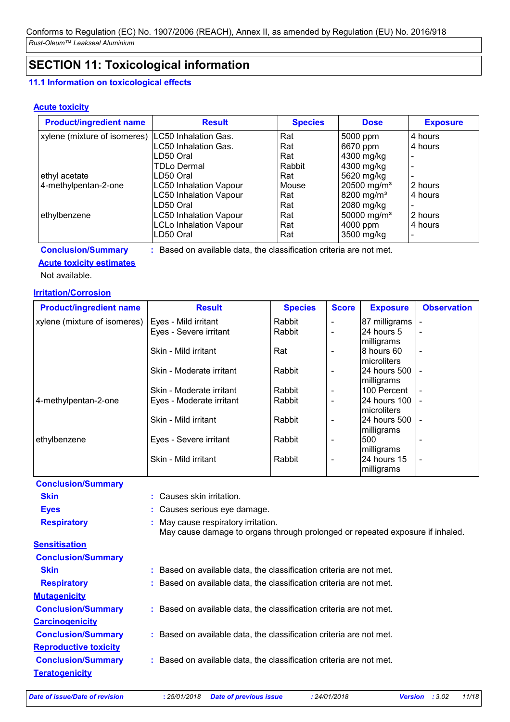# **SECTION 11: Toxicological information**

### **11.1 Information on toxicological effects**

### **Acute toxicity**

| <b>Product/ingredient name</b>                      | <b>Result</b>                 | <b>Species</b> | <b>Dose</b>             | <b>Exposure</b> |
|-----------------------------------------------------|-------------------------------|----------------|-------------------------|-----------------|
| xylene (mixture of isomeres)   LC50 Inhalation Gas. |                               | Rat            | 5000 ppm                | 4 hours         |
|                                                     | LC50 Inhalation Gas.          | Rat            | 6670 ppm                | 4 hours         |
|                                                     | LD50 Oral                     | Rat            | 4300 mg/kg              |                 |
|                                                     | TDLo Dermal                   | Rabbit         | 4300 mg/kg              |                 |
| ethyl acetate                                       | LD50 Oral                     | Rat            | 5620 mg/kg              |                 |
| 4-methylpentan-2-one                                | <b>LC50 Inhalation Vapour</b> | Mouse          | 20500 mg/m <sup>3</sup> | 2 hours         |
|                                                     | <b>LC50 Inhalation Vapour</b> | Rat            | 8200 mg/m <sup>3</sup>  | 4 hours         |
|                                                     | LD50 Oral                     | Rat            | 2080 mg/kg              |                 |
| ethylbenzene                                        | <b>LC50 Inhalation Vapour</b> | Rat            | 50000 mg/m <sup>3</sup> | 2 hours         |
|                                                     | <b>LCLo Inhalation Vapour</b> | Rat            | 4000 ppm                | 4 hours         |
|                                                     | LD50 Oral                     | Rat            | 3500 mg/kg              |                 |

**Conclusion/Summary :** Based on available data, the classification criteria are not met.

### **Acute toxicity estimates**

Not available.

### **Irritation/Corrosion**

| <b>Product/ingredient name</b> | <b>Result</b>            | <b>Species</b> | <b>Score</b>             | <b>Exposure</b>               | <b>Observation</b>       |
|--------------------------------|--------------------------|----------------|--------------------------|-------------------------------|--------------------------|
| xylene (mixture of isomeres)   | Eyes - Mild irritant     | Rabbit         | $\blacksquare$           | 87 milligrams                 |                          |
|                                | Eyes - Severe irritant   | Rabbit         | $\blacksquare$           | 24 hours 5<br>milligrams      |                          |
|                                | Skin - Mild irritant     | Rat            | $\overline{\phantom{0}}$ | 8 hours 60<br>microliters     | $\overline{\phantom{a}}$ |
|                                | Skin - Moderate irritant | Rabbit         | $\overline{\phantom{a}}$ | l24 hours 500<br>milligrams   |                          |
|                                | Skin - Moderate irritant | Rabbit         | $\overline{\phantom{a}}$ | 100 Percent                   |                          |
| 4-methylpentan-2-one           | Eyes - Moderate irritant | Rabbit         | $\blacksquare$           | 24 hours 100<br>microliters   |                          |
|                                | Skin - Mild irritant     | Rabbit         | $\overline{\phantom{a}}$ | 124 hours 500 l<br>milligrams |                          |
| ethylbenzene                   | Eyes - Severe irritant   | Rabbit         | $\overline{\phantom{0}}$ | 500<br>milligrams             |                          |
|                                | Skin - Mild irritant     | Rabbit         | $\overline{\phantom{a}}$ | 24 hours 15<br>milligrams     |                          |

| Conclusion/Summary           |                                                                                                                      |
|------------------------------|----------------------------------------------------------------------------------------------------------------------|
| <b>Skin</b>                  | : Causes skin irritation.                                                                                            |
| <b>Eyes</b>                  | : Causes serious eye damage.                                                                                         |
| <b>Respiratory</b>           | : May cause respiratory irritation.<br>May cause damage to organs through prolonged or repeated exposure if inhaled. |
| <b>Sensitisation</b>         |                                                                                                                      |
| <b>Conclusion/Summary</b>    |                                                                                                                      |
| <b>Skin</b>                  | : Based on available data, the classification criteria are not met.                                                  |
| <b>Respiratory</b>           | : Based on available data, the classification criteria are not met.                                                  |
| <b>Mutagenicity</b>          |                                                                                                                      |
| <b>Conclusion/Summary</b>    | : Based on available data, the classification criteria are not met.                                                  |
| <b>Carcinogenicity</b>       |                                                                                                                      |
| <b>Conclusion/Summary</b>    | : Based on available data, the classification criteria are not met.                                                  |
| <b>Reproductive toxicity</b> |                                                                                                                      |
| <b>Conclusion/Summary</b>    | : Based on available data, the classification criteria are not met.                                                  |
| <b>Teratogenicity</b>        |                                                                                                                      |
|                              |                                                                                                                      |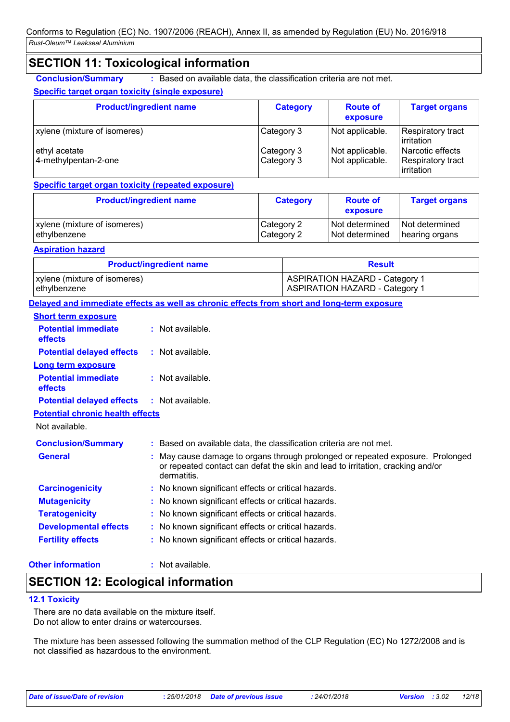# **SECTION 11: Toxicological information**

**Conclusion/Summary :** Based on available data, the classification criteria are not met.

### **Specific target organ toxicity (single exposure)**

| <b>Product/ingredient name</b>        | <b>Category</b>          | <b>Route of</b><br>exposure        | <b>Target organs</b>                                |
|---------------------------------------|--------------------------|------------------------------------|-----------------------------------------------------|
| xylene (mixture of isomeres)          | Category 3               | Not applicable.                    | Respiratory tract<br>irritation                     |
| ethyl acetate<br>4-methylpentan-2-one | Category 3<br>Category 3 | Not applicable.<br>Not applicable. | Narcotic effects<br>Respiratory tract<br>irritation |

### **Specific target organ toxicity (repeated exposure)**

| <b>Product/ingredient name</b> | <b>Category</b> | <b>Route of</b><br>exposure | <b>Target organs</b> |
|--------------------------------|-----------------|-----------------------------|----------------------|
| xylene (mixture of isomeres)   | Category 2      | Not determined              | Not determined       |
| ethylbenzene                   | Category 2      | Not determined              | hearing organs       |

### **Aspiration hazard**

| <b>Product/ingredient name</b> | <b>Result</b>                         |  |
|--------------------------------|---------------------------------------|--|
| xylene (mixture of isomeres)   | ASPIRATION HAZARD - Category 1        |  |
| ethylbenzene                   | <b>ASPIRATION HAZARD - Category 1</b> |  |

**Delayed and immediate effects as well as chronic effects from short and long-term exposure**

| <b>Short term exposure</b>                   |                                                                                                                                                                                 |
|----------------------------------------------|---------------------------------------------------------------------------------------------------------------------------------------------------------------------------------|
| <b>Potential immediate</b><br>effects        | $:$ Not available.                                                                                                                                                              |
| <b>Potential delayed effects</b>             | $\therefore$ Not available.                                                                                                                                                     |
| <b>Long term exposure</b>                    |                                                                                                                                                                                 |
| <b>Potential immediate</b><br><b>effects</b> | $:$ Not available.                                                                                                                                                              |
| <b>Potential delayed effects</b>             | $\therefore$ Not available.                                                                                                                                                     |
| <b>Potential chronic health effects</b>      |                                                                                                                                                                                 |
| Not available.                               |                                                                                                                                                                                 |
| <b>Conclusion/Summary</b>                    | : Based on available data, the classification criteria are not met.                                                                                                             |
| <b>General</b>                               | : May cause damage to organs through prolonged or repeated exposure. Prolonged<br>or repeated contact can defat the skin and lead to irritation, cracking and/or<br>dermatitis. |
| <b>Carcinogenicity</b>                       | : No known significant effects or critical hazards.                                                                                                                             |
| <b>Mutagenicity</b>                          | : No known significant effects or critical hazards.                                                                                                                             |
| <b>Teratogenicity</b>                        | : No known significant effects or critical hazards.                                                                                                                             |
| <b>Developmental effects</b>                 | : No known significant effects or critical hazards.                                                                                                                             |
| <b>Fertility effects</b>                     | : No known significant effects or critical hazards.                                                                                                                             |

### **Other information :**

: Not available.

# **SECTION 12: Ecological information**

### **12.1 Toxicity**

There are no data available on the mixture itself. Do not allow to enter drains or watercourses.

The mixture has been assessed following the summation method of the CLP Regulation (EC) No 1272/2008 and is not classified as hazardous to the environment.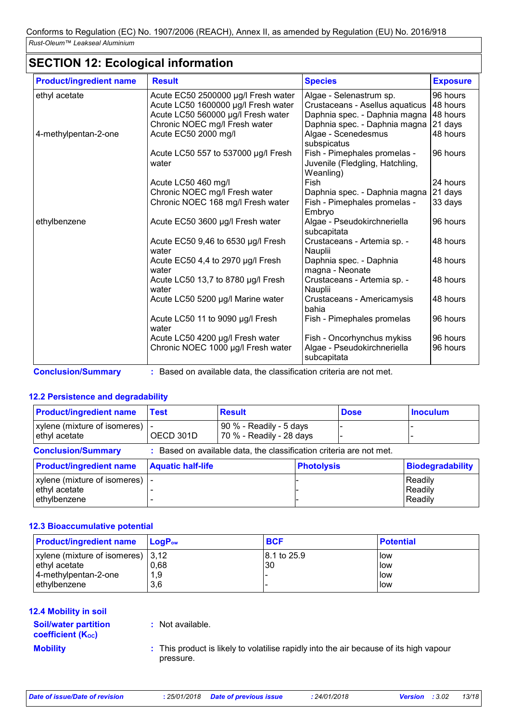# **SECTION 12: Ecological information**

| <b>Product/ingredient name</b> | <b>Result</b>                                | <b>Species</b>                                                               | <b>Exposure</b> |
|--------------------------------|----------------------------------------------|------------------------------------------------------------------------------|-----------------|
| ethyl acetate                  | Acute EC50 2500000 µg/l Fresh water          | Algae - Selenastrum sp.                                                      | 96 hours        |
|                                | Acute LC50 1600000 µg/l Fresh water          | Crustaceans - Asellus aquaticus                                              | 48 hours        |
|                                | Acute LC50 560000 µg/l Fresh water           | Daphnia spec. - Daphnia magna                                                | 48 hours        |
|                                | Chronic NOEC mg/l Fresh water                | Daphnia spec. - Daphnia magna                                                | 21 days         |
| 4-methylpentan-2-one           | Acute EC50 2000 mg/l                         | Algae - Scenedesmus<br>subspicatus                                           | 48 hours        |
|                                | Acute LC50 557 to 537000 µg/l Fresh<br>water | Fish - Pimephales promelas -<br>Juvenile (Fledgling, Hatchling,<br>Weanling) | 96 hours        |
|                                | Acute LC50 460 mg/l                          | Fish                                                                         | 24 hours        |
|                                | Chronic NOEC mg/l Fresh water                | Daphnia spec. - Daphnia magna                                                | 21 days         |
|                                | Chronic NOEC 168 mg/l Fresh water            | Fish - Pimephales promelas -<br>Embryo                                       | 33 days         |
| ethylbenzene                   | Acute EC50 3600 µg/l Fresh water             | Algae - Pseudokirchneriella<br>subcapitata                                   | 96 hours        |
|                                | Acute EC50 9,46 to 6530 µg/l Fresh<br>water  | Crustaceans - Artemia sp. -<br>Nauplii                                       | 48 hours        |
|                                | Acute EC50 4,4 to 2970 µg/l Fresh<br>water   | Daphnia spec. - Daphnia<br>magna - Neonate                                   | 48 hours        |
|                                | Acute LC50 13,7 to 8780 µg/l Fresh<br>water  | Crustaceans - Artemia sp. -<br>Nauplii                                       | 48 hours        |
|                                | Acute LC50 5200 µg/l Marine water            | Crustaceans - Americamysis<br>bahia                                          | 48 hours        |
|                                | Acute LC50 11 to 9090 µg/l Fresh<br>water    | Fish - Pimephales promelas                                                   | 96 hours        |
|                                | Acute LC50 4200 µg/l Fresh water             | Fish - Oncorhynchus mykiss                                                   | 96 hours        |
|                                | Chronic NOEC 1000 µg/l Fresh water           | Algae - Pseudokirchneriella<br>subcapitata                                   | 96 hours        |

**Conclusion/Summary :** Based on available data, the classification criteria are not met.

### **12.2 Persistence and degradability**

| <b>Product/ingredient name</b>                                                                   | <b>Test</b>              | <b>Result</b>                                       |                   | <b>Dose</b> | <b>Inoculum</b>               |
|--------------------------------------------------------------------------------------------------|--------------------------|-----------------------------------------------------|-------------------|-------------|-------------------------------|
| xylene (mixture of isomeres)  <br>ethyl acetate                                                  | OECD 301D                | 90 % - Readily - 5 days<br>70 % - Readily - 28 days |                   |             |                               |
| <b>Conclusion/Summary</b><br>: Based on available data, the classification criteria are not met. |                          |                                                     |                   |             |                               |
| <b>Product/ingredient name</b>                                                                   | <b>Aquatic half-life</b> |                                                     | <b>Photolysis</b> |             | <b>Biodegradability</b>       |
| xylene (mixture of isomeres)   -<br>ethyl acetate<br>ethylbenzene                                |                          |                                                     |                   |             | Readily<br>Readily<br>Readily |

### **12.3 Bioaccumulative potential**

| <b>Product/ingredient name</b>      | <b>LoaP</b> <sub>ow</sub> | <b>BCF</b>   | l Potential |
|-------------------------------------|---------------------------|--------------|-------------|
| xylene (mixture of isomeres)   3,12 |                           | 18.1 to 25.9 | low         |
| ethyl acetate                       | 0,68                      | 30           | l low       |
| 4-methylpentan-2-one                | 1,9                       |              | low         |
| ethylbenzene                        | 3.6                       |              | low         |

### **12.4 Mobility in soil**

### **Soil/water partition coefficient (KOC)**

**:** Not available.

**Mobility This product is likely to volatilise rapidly into the air because of its high vapour <b>Mobility** pressure.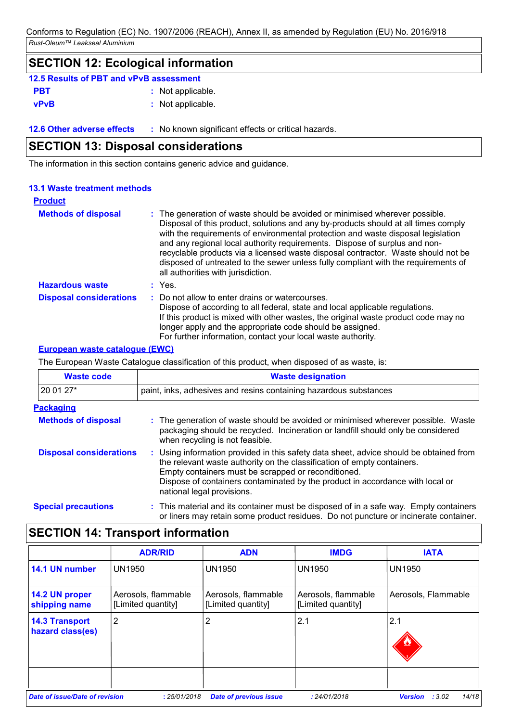# **SECTION 12: Ecological information 12.5 Results of PBT and vPvB assessment**

| <b>PBT</b>  | : Not applicable. |
|-------------|-------------------|
| <b>vPvB</b> | : Not applicable. |

**12.6 Other adverse effects** : No known significant effects or critical hazards.

# **SECTION 13: Disposal considerations**

The information in this section contains generic advice and guidance.

# **13.1 Waste treatment methods**

| <b>Product</b>                 |                                                                                                                                                                                                                                                                                                                                                                                                                                                                                                                                                      |
|--------------------------------|------------------------------------------------------------------------------------------------------------------------------------------------------------------------------------------------------------------------------------------------------------------------------------------------------------------------------------------------------------------------------------------------------------------------------------------------------------------------------------------------------------------------------------------------------|
| <b>Methods of disposal</b>     | : The generation of waste should be avoided or minimised wherever possible.<br>Disposal of this product, solutions and any by-products should at all times comply<br>with the requirements of environmental protection and waste disposal legislation<br>and any regional local authority requirements. Dispose of surplus and non-<br>recyclable products via a licensed waste disposal contractor. Waste should not be<br>disposed of untreated to the sewer unless fully compliant with the requirements of<br>all authorities with jurisdiction. |
| <b>Hazardous waste</b>         | $:$ Yes.                                                                                                                                                                                                                                                                                                                                                                                                                                                                                                                                             |
| <b>Disposal considerations</b> | : Do not allow to enter drains or watercourses.<br>Dispose of according to all federal, state and local applicable regulations.<br>If this product is mixed with other wastes, the original waste product code may no<br>longer apply and the appropriate code should be assigned.<br>For further information, contact your local waste authority.                                                                                                                                                                                                   |

### **European waste catalogue (EWC)**

The European Waste Catalogue classification of this product, when disposed of as waste, is:

| <b>Waste code</b>              | <b>Waste designation</b><br>paint, inks, adhesives and resins containing hazardous substances                                                                                                                                                                                                                                           |  |  |  |
|--------------------------------|-----------------------------------------------------------------------------------------------------------------------------------------------------------------------------------------------------------------------------------------------------------------------------------------------------------------------------------------|--|--|--|
| 20 01 27*                      |                                                                                                                                                                                                                                                                                                                                         |  |  |  |
| <b>Packaging</b>               |                                                                                                                                                                                                                                                                                                                                         |  |  |  |
| <b>Methods of disposal</b>     | : The generation of waste should be avoided or minimised wherever possible. Waste<br>packaging should be recycled. Incineration or landfill should only be considered<br>when recycling is not feasible.                                                                                                                                |  |  |  |
| <b>Disposal considerations</b> | : Using information provided in this safety data sheet, advice should be obtained from<br>the relevant waste authority on the classification of empty containers.<br>Empty containers must be scrapped or reconditioned.<br>Dispose of containers contaminated by the product in accordance with local or<br>national legal provisions. |  |  |  |
| <b>Special precautions</b>     | : This material and its container must be disposed of in a safe way. Empty containers<br>or liners may retain some product residues. Do not puncture or incinerate container.                                                                                                                                                           |  |  |  |

# **SECTION 14: Transport information**

|                                           | <b>ADR/RID</b>                            | <b>ADN</b>                                | <b>IMDG</b>                               | <b>IATA</b>                       |
|-------------------------------------------|-------------------------------------------|-------------------------------------------|-------------------------------------------|-----------------------------------|
| 14.1 UN number                            | <b>UN1950</b>                             | <b>UN1950</b>                             | <b>UN1950</b>                             | <b>UN1950</b>                     |
| 14.2 UN proper<br>shipping name           | Aerosols, flammable<br>[Limited quantity] | Aerosols, flammable<br>[Limited quantity] | Aerosols, flammable<br>[Limited quantity] | Aerosols, Flammable               |
| <b>14.3 Transport</b><br>hazard class(es) | $\overline{2}$                            | 2                                         | 2.1                                       | 2.1                               |
| Date of issue/Date of revision            | : 25/01/2018                              | <b>Date of previous issue</b>             | : 24/01/2018                              | 14/18<br>: 3.02<br><b>Version</b> |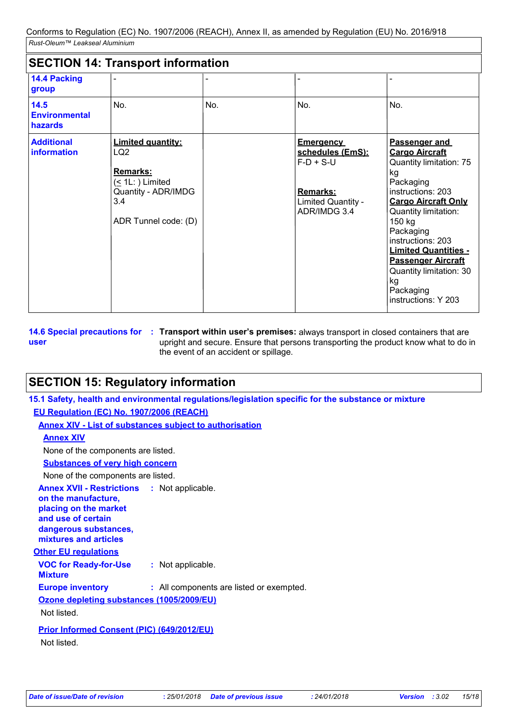| <b>SECTION 14: Transport information</b> |                                                                                                                                      |     |                                                                                                              |                                                                                                                                                                                                                                                                                                                                              |
|------------------------------------------|--------------------------------------------------------------------------------------------------------------------------------------|-----|--------------------------------------------------------------------------------------------------------------|----------------------------------------------------------------------------------------------------------------------------------------------------------------------------------------------------------------------------------------------------------------------------------------------------------------------------------------------|
| <b>14.4 Packing</b><br>group             |                                                                                                                                      |     |                                                                                                              |                                                                                                                                                                                                                                                                                                                                              |
| 14.5<br><b>Environmental</b><br>hazards  | No.                                                                                                                                  | No. | No.                                                                                                          | No.                                                                                                                                                                                                                                                                                                                                          |
| <b>Additional</b><br>information         | <b>Limited quantity:</b><br>LQ <sub>2</sub><br>Remarks:<br>$($ 1L: $)$ Limited<br>Quantity - ADR/IMDG<br>3.4<br>ADR Tunnel code: (D) |     | <b>Emergency</b><br>schedules (EmS):<br>$F-D + S-U$<br><b>Remarks:</b><br>Limited Quantity -<br>ADR/IMDG 3.4 | Passenger and<br><b>Cargo Aircraft</b><br>Quantity limitation: 75<br>kg<br>Packaging<br>instructions: 203<br><b>Cargo Aircraft Only</b><br>Quantity limitation:<br>150 kg<br>Packaging<br>instructions: 203<br><b>Limited Quantities -</b><br><b>Passenger Aircraft</b><br>Quantity limitation: 30<br>kg<br>Packaging<br>instructions: Y 203 |

**user**

**14.6 Special precautions for : Transport within user's premises: always transport in closed containers that are** upright and secure. Ensure that persons transporting the product know what to do in the event of an accident or spillage.

# **SECTION 15: Regulatory information**

**15.1 Safety, health and environmental regulations/legislation specific for the substance or mixture**

**EU Regulation (EC) No. 1907/2006 (REACH)**

**Annex XIV - List of substances subject to authorisation**

### **Annex XIV**

None of the components are listed.

**Substances of very high concern**

None of the components are listed.

| <b>Annex XVII - Restrictions</b><br>on the manufacture,<br>placing on the market<br>and use of certain<br>dangerous substances,<br>mixtures and articles |  | : Not applicable.                        |  |  |
|----------------------------------------------------------------------------------------------------------------------------------------------------------|--|------------------------------------------|--|--|
| Other EU regulations                                                                                                                                     |  |                                          |  |  |
| <b>VOC for Ready-for-Use</b><br><b>Mixture</b>                                                                                                           |  | : Not applicable.                        |  |  |
| <b>Europe inventory</b>                                                                                                                                  |  | : All components are listed or exempted. |  |  |
| Ozone depleting substances (1005/2009/EU)                                                                                                                |  |                                          |  |  |
| Not listed.                                                                                                                                              |  |                                          |  |  |
| <b>Prior Informed Consent (PIC) (649/2012/EU)</b>                                                                                                        |  |                                          |  |  |

Not listed.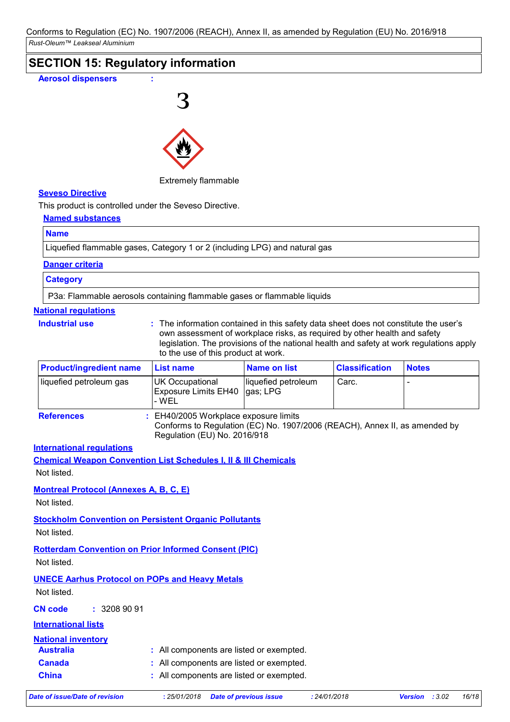# **SECTION 15: Regulatory information**





### Extremely flammable

### **Seveso Directive**

This product is controlled under the Seveso Directive.

### **Named substances**

### **Name**

Liquefied flammable gases, Category 1 or 2 (including LPG) and natural gas

### **Danger criteria**

### **Category**

P3a: Flammable aerosols containing flammable gases or flammable liquids

### **National regulations**

- **Industrial use :**
- The information contained in this safety data sheet does not constitute the user's own assessment of workplace risks, as required by other health and safety legislation. The provisions of the national health and safety at work regulations apply to the use of this product at work.

| <b>Product/ingredient name</b> | <b>⊩List name</b>                                | Name on list                     | <b>Classification</b> | <b>Notes</b> |
|--------------------------------|--------------------------------------------------|----------------------------------|-----------------------|--------------|
| liquefied petroleum gas        | UK Occupational<br>Exposure Limits EH40<br>- WEL | liquefied petroleum<br>lgas; LPG | Carc.                 |              |
| <b>References</b>              | : EH40/2005 Workplace exposure limits            |                                  |                       |              |

Conforms to Regulation (EC) No. 1907/2006 (REACH), Annex II, as amended by Regulation (EU) No. 2016/918

### **International regulations**

**Chemical Weapon Convention List Schedules I, II & III Chemicals** Not listed.

### **Montreal Protocol (Annexes A, B, C, E)**

Not listed.

### **Stockholm Convention on Persistent Organic Pollutants**

Not listed.

### **Rotterdam Convention on Prior Informed Consent (PIC)**

Not listed.

### **UNECE Aarhus Protocol on POPs and Heavy Metals**

Not listed.

**CN code :** 3208 90 91

### **International lists**

### **National inventory**

| <b>Australia</b> | : All components are listed or exempted. |
|------------------|------------------------------------------|
|                  |                                          |

- **Canada :** All components are listed or exempted.
- **China :** All components are listed or exempted.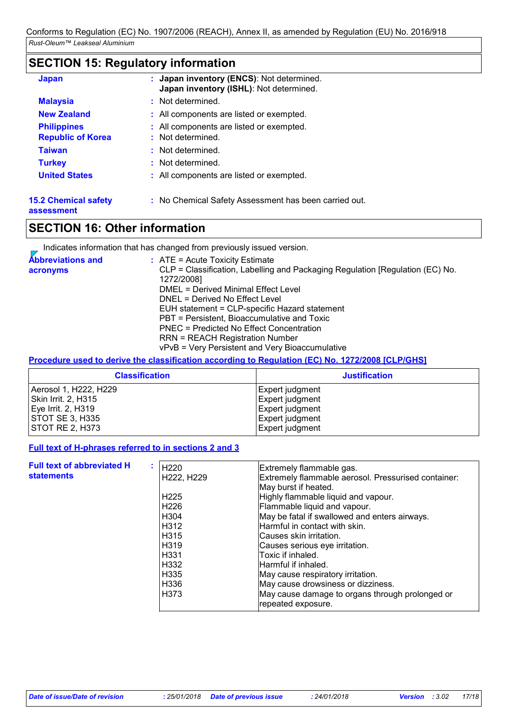# **SECTION 15: Regulatory information**

| <b>Japan</b>                                   | : Japan inventory (ENCS): Not determined.<br>Japan inventory (ISHL): Not determined. |
|------------------------------------------------|--------------------------------------------------------------------------------------|
| <b>Malaysia</b>                                | : Not determined.                                                                    |
| <b>New Zealand</b>                             | : All components are listed or exempted.                                             |
| <b>Philippines</b><br><b>Republic of Korea</b> | : All components are listed or exempted.<br>: Not determined.                        |
| <b>Taiwan</b>                                  | : Not determined.                                                                    |
| <b>Turkey</b>                                  | : Not determined.                                                                    |
| <b>United States</b>                           | : All components are listed or exempted.                                             |
| <b>15.2 Chemical safety</b>                    | : No Chemical Safety Assessment has been carried out.                                |

**assessment**

# **SECTION 16: Other information**

Indicates information that has changed from previously issued version.

| <b>Abbreviations and</b> | $\therefore$ ATE = Acute Toxicity Estimate                                    |
|--------------------------|-------------------------------------------------------------------------------|
| acronyms                 | CLP = Classification, Labelling and Packaging Regulation [Regulation (EC) No. |
|                          | 1272/2008]                                                                    |
|                          | DMEL = Derived Minimal Effect Level                                           |
|                          | DNEL = Derived No Effect Level                                                |
|                          | EUH statement = CLP-specific Hazard statement                                 |
|                          | PBT = Persistent, Bioaccumulative and Toxic                                   |
|                          | PNEC = Predicted No Effect Concentration                                      |
|                          | <b>RRN = REACH Registration Number</b>                                        |
|                          | vPvB = Very Persistent and Very Bioaccumulative                               |

**Procedure used to derive the classification according to Regulation (EC) No. 1272/2008 [CLP/GHS]**

| <b>Classification</b>  | <b>Justification</b> |
|------------------------|----------------------|
| Aerosol 1, H222, H229  | Expert judgment      |
| Skin Irrit. 2, H315    | Expert judgment      |
| Eye Irrit. 2, H319     | Expert judgment      |
| <b>STOT SE 3, H335</b> | Expert judgment      |
| <b>STOT RE 2, H373</b> | Expert judgment      |

### **Full text of H-phrases referred to in sections 2 and 3**

| <b>Full text of abbreviated H</b><br><b>statements</b> | H220<br>H222, H229<br>H <sub>225</sub><br>H <sub>226</sub><br>H <sub>304</sub><br>H312<br>H <sub>315</sub><br>H <sub>319</sub><br>H <sub>331</sub><br>H332<br>H335<br>H336<br>H373 | Extremely flammable gas.<br>Extremely flammable aerosol. Pressurised container:<br>May burst if heated.<br>Highly flammable liquid and vapour.<br>Flammable liquid and vapour.<br>May be fatal if swallowed and enters airways.<br>Harmful in contact with skin.<br>Causes skin irritation.<br>Causes serious eye irritation.<br>Toxic if inhaled.<br>lHarmful if inhaled.<br>May cause respiratory irritation.<br>May cause drowsiness or dizziness.<br>May cause damage to organs through prolonged or |
|--------------------------------------------------------|------------------------------------------------------------------------------------------------------------------------------------------------------------------------------------|----------------------------------------------------------------------------------------------------------------------------------------------------------------------------------------------------------------------------------------------------------------------------------------------------------------------------------------------------------------------------------------------------------------------------------------------------------------------------------------------------------|
|                                                        |                                                                                                                                                                                    | repeated exposure.                                                                                                                                                                                                                                                                                                                                                                                                                                                                                       |